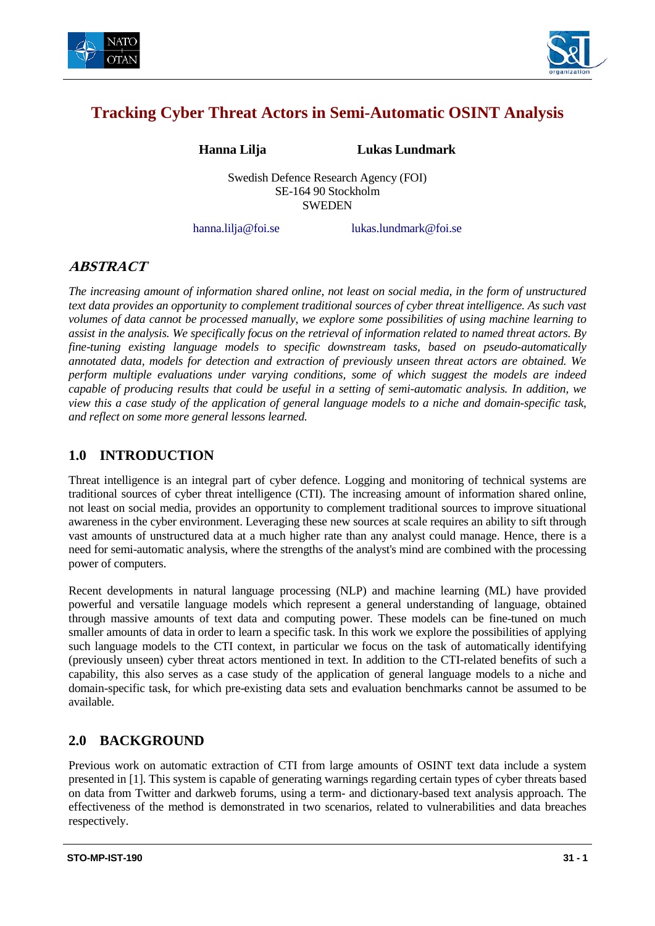



# **Tracking Cyber Threat Actors in Semi-Automatic OSINT Analysis**

**Hanna Lilja Lukas Lundmark**

Swedish Defence Research Agency (FOI) SE-164 90 Stockholm **SWEDEN** 

hanna.lilja@foi.se lukas.lundmark@foi.se

## **ABSTRACT**

*The increasing amount of information shared online, not least on social media, in the form of unstructured text data provides an opportunity to complement traditional sources of cyber threat intelligence. As such vast volumes of data cannot be processed manually, we explore some possibilities of using machine learning to assist in the analysis. We specifically focus on the retrieval of information related to named threat actors. By fine-tuning existing language models to specific downstream tasks, based on pseudo-automatically annotated data, models for detection and extraction of previously unseen threat actors are obtained. We perform multiple evaluations under varying conditions, some of which suggest the models are indeed capable of producing results that could be useful in a setting of semi-automatic analysis. In addition, we view this a case study of the application of general language models to a niche and domain-specific task, and reflect on some more general lessons learned.*

## **1.0 INTRODUCTION**

Threat intelligence is an integral part of cyber defence. Logging and monitoring of technical systems are traditional sources of cyber threat intelligence (CTI). The increasing amount of information shared online, not least on social media, provides an opportunity to complement traditional sources to improve situational awareness in the cyber environment. Leveraging these new sources at scale requires an ability to sift through vast amounts of unstructured data at a much higher rate than any analyst could manage. Hence, there is a need for semi-automatic analysis, where the strengths of the analyst's mind are combined with the processing power of computers.

Recent developments in natural language processing (NLP) and machine learning (ML) have provided powerful and versatile language models which represent a general understanding of language, obtained through massive amounts of text data and computing power. These models can be fine-tuned on much smaller amounts of data in order to learn a specific task. In this work we explore the possibilities of applying such language models to the CTI context, in particular we focus on the task of automatically identifying (previously unseen) cyber threat actors mentioned in text. In addition to the CTI-related benefits of such a capability, this also serves as a case study of the application of general language models to a niche and domain-specific task, for which pre-existing data sets and evaluation benchmarks cannot be assumed to be available.

### **2.0 BACKGROUND**

Previous work on automatic extraction of CTI from large amounts of OSINT text data include a system presented in [1]. This system is capable of generating warnings regarding certain types of cyber threats based on data from Twitter and darkweb forums, using a term- and dictionary-based text analysis approach. The effectiveness of the method is demonstrated in two scenarios, related to vulnerabilities and data breaches respectively.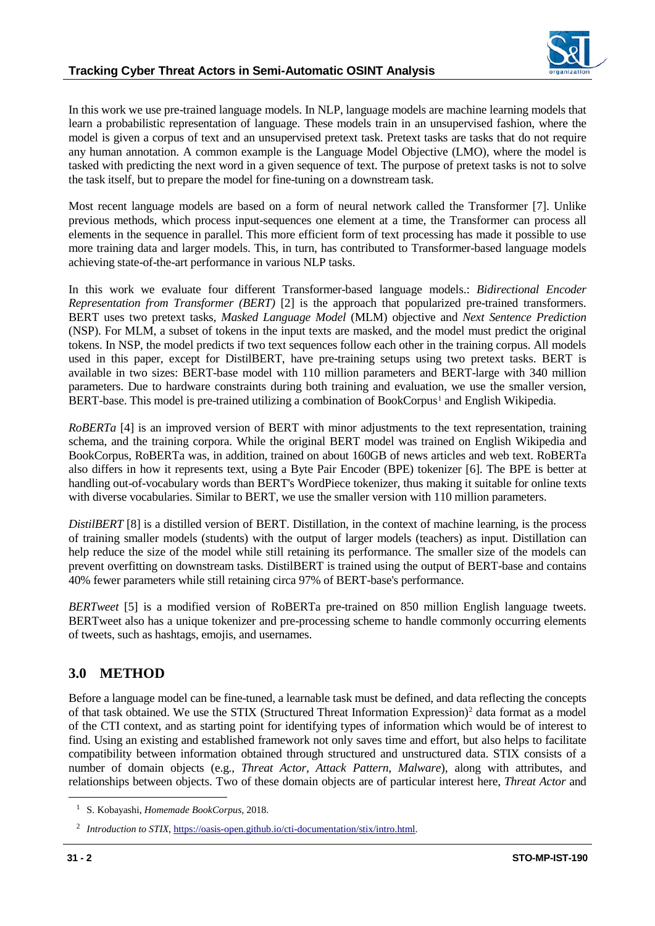

In this work we use pre-trained language models. In NLP, language models are machine learning models that learn a probabilistic representation of language. These models train in an unsupervised fashion, where the model is given a corpus of text and an unsupervised pretext task. Pretext tasks are tasks that do not require any human annotation. A common example is the Language Model Objective (LMO), where the model is tasked with predicting the next word in a given sequence of text. The purpose of pretext tasks is not to solve the task itself, but to prepare the model for fine-tuning on a downstream task.

Most recent language models are based on a form of neural network called the Transformer [7]. Unlike previous methods, which process input-sequences one element at a time, the Transformer can process all elements in the sequence in parallel. This more efficient form of text processing has made it possible to use more training data and larger models. This, in turn, has contributed to Transformer-based language models achieving state-of-the-art performance in various NLP tasks.

In this work we evaluate four different Transformer-based language models.: *Bidirectional Encoder Representation from Transformer (BERT)* [2] is the approach that popularized pre-trained transformers. BERT uses two pretext tasks, *Masked Language Model* (MLM) objective and *Next Sentence Prediction* (NSP). For MLM, a subset of tokens in the input texts are masked, and the model must predict the original tokens. In NSP, the model predicts if two text sequences follow each other in the training corpus. All models used in this paper, except for DistilBERT, have pre-training setups using two pretext tasks. BERT is available in two sizes: BERT-base model with 110 million parameters and BERT-large with 340 million parameters. Due to hardware constraints during both training and evaluation, we use the smaller version, BERT-base. This model is pre-trained utilizing a combination of BookCorpus<sup>[1](#page-1-0)</sup> and English Wikipedia.

*RoBERTa* [4] is an improved version of BERT with minor adjustments to the text representation, training schema, and the training corpora. While the original BERT model was trained on English Wikipedia and BookCorpus, RoBERTa was, in addition, trained on about 160GB of news articles and web text. RoBERTa also differs in how it represents text, using a Byte Pair Encoder (BPE) tokenizer [6]. The BPE is better at handling out-of-vocabulary words than BERT's WordPiece tokenizer, thus making it suitable for online texts with diverse vocabularies. Similar to BERT, we use the smaller version with 110 million parameters.

*DistilBERT* [8] is a distilled version of BERT. Distillation, in the context of machine learning, is the process of training smaller models (students) with the output of larger models (teachers) as input. Distillation can help reduce the size of the model while still retaining its performance. The smaller size of the models can prevent overfitting on downstream tasks. DistilBERT is trained using the output of BERT-base and contains 40% fewer parameters while still retaining circa 97% of BERT-base's performance.

*BERTweet* [5] is a modified version of RoBERTa pre-trained on 850 million English language tweets. BERTweet also has a unique tokenizer and pre-processing scheme to handle commonly occurring elements of tweets, such as hashtags, emojis, and usernames.

### **3.0 METHOD**

Before a language model can be fine-tuned, a learnable task must be defined, and data reflecting the concepts of that task obtained. We use the STIX (Structured Threat Information Expression)<sup>[2](#page-1-1)</sup> data format as a model of the CTI context, and as starting point for identifying types of information which would be of interest to find. Using an existing and established framework not only saves time and effort, but also helps to facilitate compatibility between information obtained through structured and unstructured data. STIX consists of a number of domain objects (e.g., *Threat Actor*, *Attack Pattern*, *Malware*), along with attributes, and relationships between objects. Two of these domain objects are of particular interest here, *Threat Actor* and

<span id="page-1-0"></span> <sup>1</sup> S. Kobayashi, *Homemade BookCorpus,* 2018.

<span id="page-1-1"></span><sup>&</sup>lt;sup>2</sup> *Introduction to STIX*, [https://oasis-open.github.io/cti-documentation/stix/intro.html.](https://oasis-open.github.io/cti-documentation/stix/intro.html)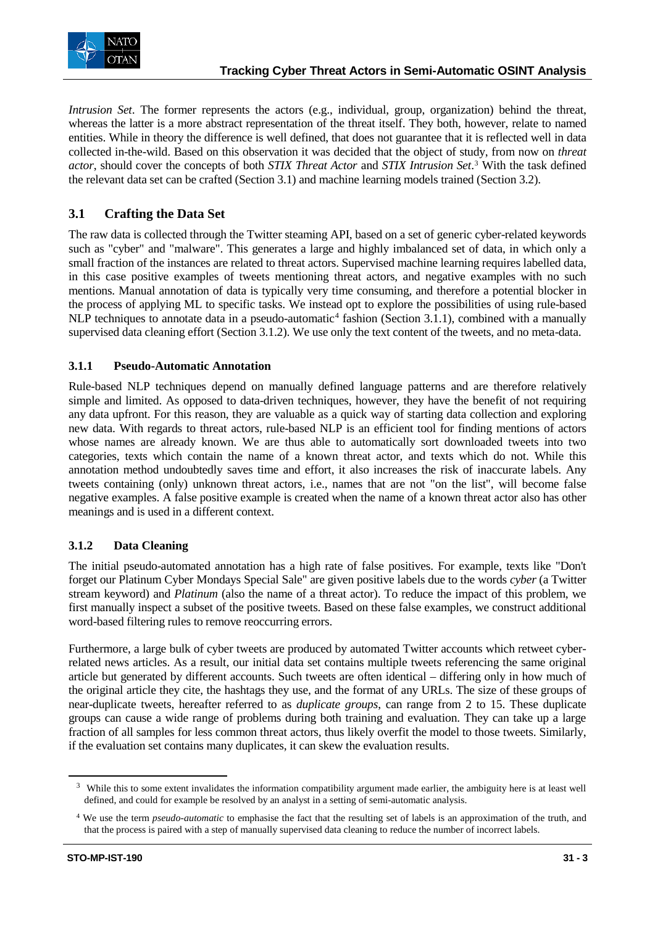

*Intrusion Set*. The former represents the actors (e.g., individual, group, organization) behind the threat, whereas the latter is a more abstract representation of the threat itself. They both, however, relate to named entities. While in theory the difference is well defined, that does not guarantee that it is reflected well in data collected in-the-wild. Based on this observation it was decided that the object of study, from now on *threat actor*, should cover the concepts of both *STIX Threat Actor* and *STIX Intrusion Set*. [3](#page-2-0) With the task defined the relevant data set can be crafted (Section 3.1) and machine learning models trained (Section 3.2).

### **3.1 Crafting the Data Set**

The raw data is collected through the Twitter steaming API, based on a set of generic cyber-related keywords such as "cyber" and "malware". This generates a large and highly imbalanced set of data, in which only a small fraction of the instances are related to threat actors. Supervised machine learning requires labelled data, in this case positive examples of tweets mentioning threat actors, and negative examples with no such mentions. Manual annotation of data is typically very time consuming, and therefore a potential blocker in the process of applying ML to specific tasks. We instead opt to explore the possibilities of using rule-based NLP techniques to annotate data in a pseudo-automatic<sup>[4](#page-2-1)</sup> fashion (Section 3.1.1), combined with a manually supervised data cleaning effort (Section 3.1.2). We use only the text content of the tweets, and no meta-data.

#### **3.1.1 Pseudo-Automatic Annotation**

Rule-based NLP techniques depend on manually defined language patterns and are therefore relatively simple and limited. As opposed to data-driven techniques, however, they have the benefit of not requiring any data upfront. For this reason, they are valuable as a quick way of starting data collection and exploring new data. With regards to threat actors, rule-based NLP is an efficient tool for finding mentions of actors whose names are already known. We are thus able to automatically sort downloaded tweets into two categories, texts which contain the name of a known threat actor, and texts which do not. While this annotation method undoubtedly saves time and effort, it also increases the risk of inaccurate labels. Any tweets containing (only) unknown threat actors, i.e., names that are not "on the list", will become false negative examples. A false positive example is created when the name of a known threat actor also has other meanings and is used in a different context.

### **3.1.2 Data Cleaning**

The initial pseudo-automated annotation has a high rate of false positives. For example, texts like "Don't forget our Platinum Cyber Mondays Special Sale" are given positive labels due to the words *cyber* (a Twitter stream keyword) and *Platinum* (also the name of a threat actor). To reduce the impact of this problem, we first manually inspect a subset of the positive tweets. Based on these false examples, we construct additional word-based filtering rules to remove reoccurring errors.

Furthermore, a large bulk of cyber tweets are produced by automated Twitter accounts which retweet cyberrelated news articles. As a result, our initial data set contains multiple tweets referencing the same original article but generated by different accounts. Such tweets are often identical – differing only in how much of the original article they cite, the hashtags they use, and the format of any URLs. The size of these groups of near-duplicate tweets, hereafter referred to as *duplicate groups*, can range from 2 to 15. These duplicate groups can cause a wide range of problems during both training and evaluation. They can take up a large fraction of all samples for less common threat actors, thus likely overfit the model to those tweets. Similarly, if the evaluation set contains many duplicates, it can skew the evaluation results.

<span id="page-2-0"></span><sup>&</sup>lt;sup>3</sup> While this to some extent invalidates the information compatibility argument made earlier, the ambiguity here is at least well defined, and could for example be resolved by an analyst in a setting of semi-automatic analysis.

<span id="page-2-1"></span><sup>4</sup> We use the term *pseudo-automatic* to emphasise the fact that the resulting set of labels is an approximation of the truth, and that the process is paired with a step of manually supervised data cleaning to reduce the number of incorrect labels.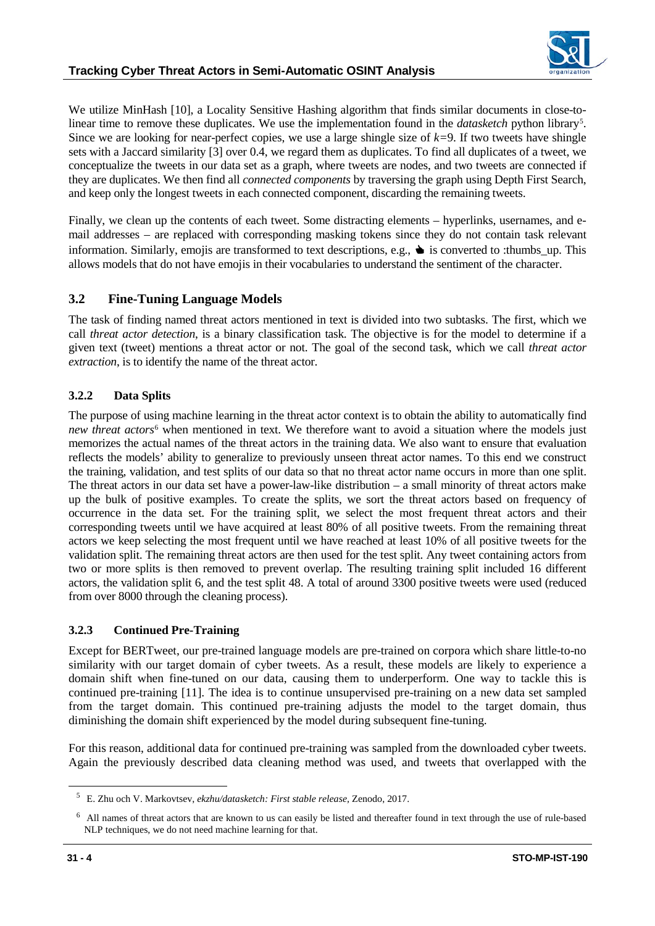

We utilize MinHash [10], a Locality Sensitive Hashing algorithm that finds similar documents in close-tolinear time to remove these duplicates. We use the implementation found in the *datasketch* python library<sup>[5](#page-3-0)</sup>. Since we are looking for near-perfect copies, we use a large shingle size of *k=*9. If two tweets have shingle sets with a Jaccard similarity [3] over 0.4, we regard them as duplicates. To find all duplicates of a tweet, we conceptualize the tweets in our data set as a graph, where tweets are nodes, and two tweets are connected if they are duplicates. We then find all *connected components* by traversing the graph using Depth First Search, and keep only the longest tweets in each connected component, discarding the remaining tweets.

Finally, we clean up the contents of each tweet. Some distracting elements – hyperlinks, usernames, and email addresses – are replaced with corresponding masking tokens since they do not contain task relevant information. Similarly, emojis are transformed to text descriptions, e.g.,  $\blacklozenge$  is converted to :thumbs up. This allows models that do not have emojis in their vocabularies to understand the sentiment of the character.

### **3.2 Fine-Tuning Language Models**

The task of finding named threat actors mentioned in text is divided into two subtasks. The first, which we call *threat actor detection*, is a binary classification task. The objective is for the model to determine if a given text (tweet) mentions a threat actor or not. The goal of the second task, which we call *threat actor extraction*, is to identify the name of the threat actor.

#### **3.2.2 Data Splits**

The purpose of using machine learning in the threat actor context is to obtain the ability to automatically find *new threat actors*<sup>[6](#page-3-1)</sup> when mentioned in text. We therefore want to avoid a situation where the models just memorizes the actual names of the threat actors in the training data. We also want to ensure that evaluation reflects the models' ability to generalize to previously unseen threat actor names. To this end we construct the training, validation, and test splits of our data so that no threat actor name occurs in more than one split. The threat actors in our data set have a power-law-like distribution – a small minority of threat actors make up the bulk of positive examples. To create the splits, we sort the threat actors based on frequency of occurrence in the data set. For the training split, we select the most frequent threat actors and their corresponding tweets until we have acquired at least 80% of all positive tweets. From the remaining threat actors we keep selecting the most frequent until we have reached at least 10% of all positive tweets for the validation split. The remaining threat actors are then used for the test split. Any tweet containing actors from two or more splits is then removed to prevent overlap. The resulting training split included 16 different actors, the validation split 6, and the test split 48. A total of around 3300 positive tweets were used (reduced from over 8000 through the cleaning process).

#### **3.2.3 Continued Pre-Training**

Except for BERTweet, our pre-trained language models are pre-trained on corpora which share little-to-no similarity with our target domain of cyber tweets. As a result, these models are likely to experience a domain shift when fine-tuned on our data, causing them to underperform. One way to tackle this is continued pre-training [11]. The idea is to continue unsupervised pre-training on a new data set sampled from the target domain. This continued pre-training adjusts the model to the target domain, thus diminishing the domain shift experienced by the model during subsequent fine-tuning.

For this reason, additional data for continued pre-training was sampled from the downloaded cyber tweets. Again the previously described data cleaning method was used, and tweets that overlapped with the

<span id="page-3-0"></span> <sup>5</sup> E. Zhu och V. Markovtsev, *ekzhu/datasketch: First stable release,* Zenodo, 2017.

<span id="page-3-1"></span><sup>6</sup> All names of threat actors that are known to us can easily be listed and thereafter found in text through the use of rule-based NLP techniques, we do not need machine learning for that.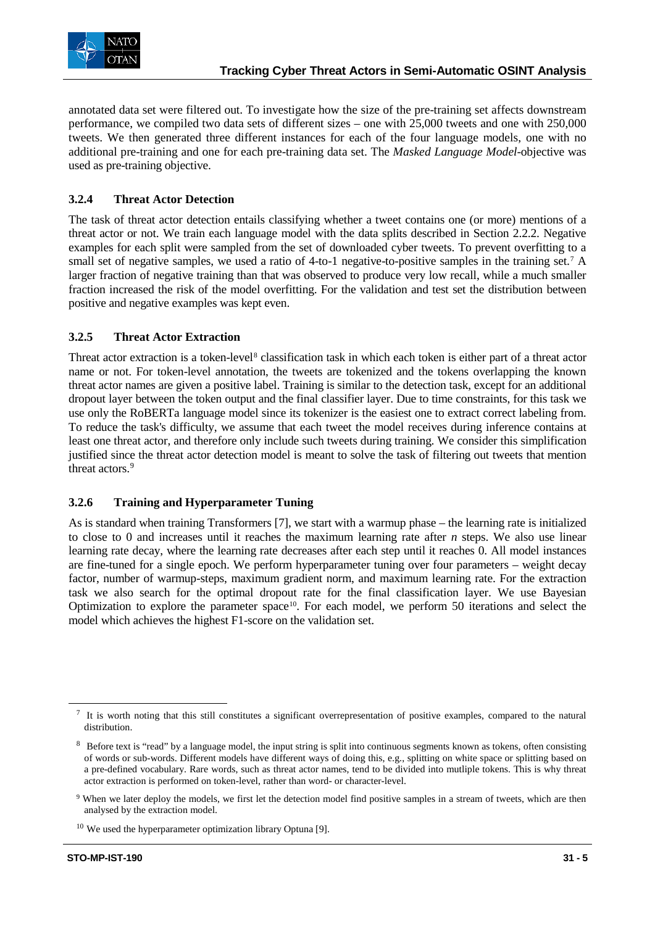

annotated data set were filtered out. To investigate how the size of the pre-training set affects downstream performance, we compiled two data sets of different sizes – one with 25,000 tweets and one with 250,000 tweets. We then generated three different instances for each of the four language models, one with no additional pre-training and one for each pre-training data set. The *Masked Language Model*-objective was used as pre-training objective.

#### **3.2.4 Threat Actor Detection**

The task of threat actor detection entails classifying whether a tweet contains one (or more) mentions of a threat actor or not. We train each language model with the data splits described in Section 2.2.2. Negative examples for each split were sampled from the set of downloaded cyber tweets. To prevent overfitting to a small set of negative samples, we used a ratio of 4-to-1 negative-to-positive samples in the training set.<sup>[7](#page-4-0)</sup> A larger fraction of negative training than that was observed to produce very low recall, while a much smaller fraction increased the risk of the model overfitting. For the validation and test set the distribution between positive and negative examples was kept even.

#### **3.2.5 Threat Actor Extraction**

Threat actor extraction is a token-level<sup>[8](#page-4-1)</sup> classification task in which each token is either part of a threat actor name or not. For token-level annotation, the tweets are tokenized and the tokens overlapping the known threat actor names are given a positive label. Training is similar to the detection task, except for an additional dropout layer between the token output and the final classifier layer. Due to time constraints, for this task we use only the RoBERTa language model since its tokenizer is the easiest one to extract correct labeling from. To reduce the task's difficulty, we assume that each tweet the model receives during inference contains at least one threat actor, and therefore only include such tweets during training. We consider this simplification justified since the threat actor detection model is meant to solve the task of filtering out tweets that mention threat actors.<sup>9</sup>

#### **3.2.6 Training and Hyperparameter Tuning**

As is standard when training Transformers [7], we start with a warmup phase – the learning rate is initialized to close to 0 and increases until it reaches the maximum learning rate after *n* steps. We also use linear learning rate decay, where the learning rate decreases after each step until it reaches 0. All model instances are fine-tuned for a single epoch. We perform hyperparameter tuning over four parameters – weight decay factor, number of warmup-steps, maximum gradient norm, and maximum learning rate. For the extraction task we also search for the optimal dropout rate for the final classification layer. We use Bayesian Optimization to explore the parameter space<sup>10</sup>. For each model, we perform 50 iterations and select the model which achieves the highest F1-score on the validation set.

<span id="page-4-0"></span> $\frac{7}{1}$  It is worth noting that this still constitutes a significant overrepresentation of positive examples, compared to the natural distribution.

<span id="page-4-1"></span><sup>&</sup>lt;sup>8</sup> Before text is "read" by a language model, the input string is split into continuous segments known as tokens, often consisting of words or sub-words. Different models have different ways of doing this, e.g., splitting on white space or splitting based on a pre-defined vocabulary. Rare words, such as threat actor names, tend to be divided into mutliple tokens. This is why threat actor extraction is performed on token-level, rather than word- or character-level.

<span id="page-4-2"></span><sup>9</sup> When we later deploy the models, we first let the detection model find positive samples in a stream of tweets, which are then analysed by the extraction model.

<span id="page-4-3"></span><sup>&</sup>lt;sup>10</sup> We used the hyperparameter optimization library Optuna [9].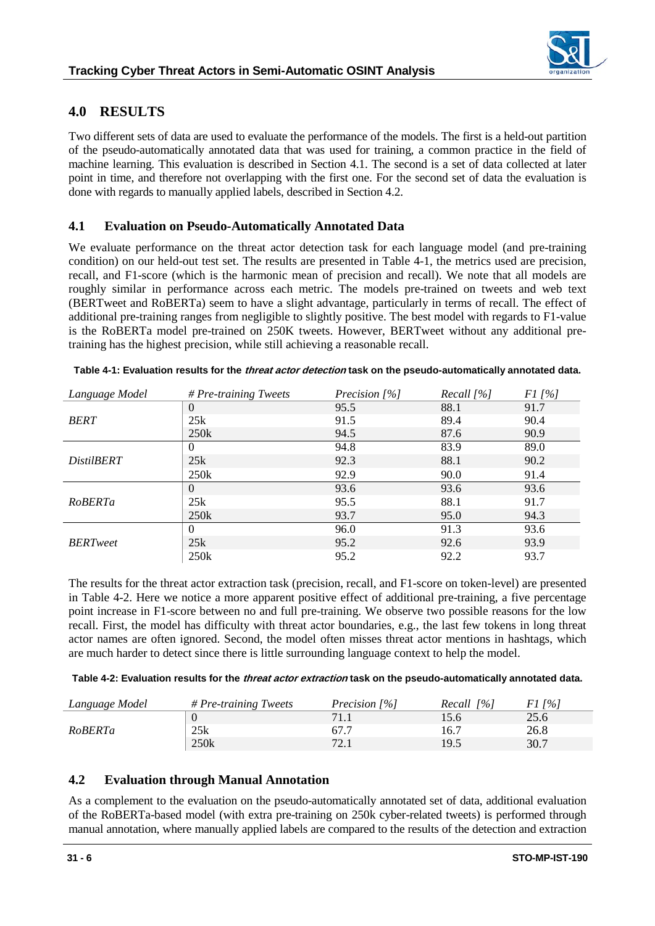### **4.0 RESULTS**

Two different sets of data are used to evaluate the performance of the models. The first is a held-out partition of the pseudo-automatically annotated data that was used for training, a common practice in the field of machine learning. This evaluation is described in Section 4.1. The second is a set of data collected at later point in time, and therefore not overlapping with the first one. For the second set of data the evaluation is done with regards to manually applied labels, described in Section 4.2.

### **4.1 Evaluation on Pseudo-Automatically Annotated Data**

We evaluate performance on the threat actor detection task for each language model (and pre-training condition) on our held-out test set. The results are presented in [Table 4-1,](#page-5-0) the metrics used are precision, recall, and F1-score (which is the harmonic mean of precision and recall). We note that all models are roughly similar in performance across each metric. The models pre-trained on tweets and web text (BERTweet and RoBERTa) seem to have a slight advantage, particularly in terms of recall. The effect of additional pre-training ranges from negligible to slightly positive. The best model with regards to F1-value is the RoBERTa model pre-trained on 250K tweets. However, BERTweet without any additional pretraining has the highest precision, while still achieving a reasonable recall.

| Language Model    | # Pre-training Tweets | Precision [%] | Recall $[%]$ | $F1/$ %] |
|-------------------|-----------------------|---------------|--------------|----------|
| <b>BERT</b>       | $\Omega$              | 95.5          | 88.1         | 91.7     |
|                   | 25k                   | 91.5          | 89.4         | 90.4     |
|                   | 250 <sub>k</sub>      | 94.5          | 87.6         | 90.9     |
| <i>DistilBERT</i> | $\Omega$              | 94.8          | 83.9         | 89.0     |
|                   | 25k                   | 92.3          | 88.1         | 90.2     |
|                   | 250k                  | 92.9          | 90.0         | 91.4     |
| RoBERTa           | $\theta$              | 93.6          | 93.6         | 93.6     |
|                   | 25k                   | 95.5          | 88.1         | 91.7     |
|                   | 250 <sub>k</sub>      | 93.7          | 95.0         | 94.3     |
| <b>BERT</b> weet  | $\theta$              | 96.0          | 91.3         | 93.6     |
|                   | 25k                   | 95.2          | 92.6         | 93.9     |
|                   | 250k                  | 95.2          | 92.2         | 93.7     |

<span id="page-5-0"></span>

|  | Table 4-1: Evaluation results for the <i>threat actor detection</i> task on the pseudo-automatically annotated data. |
|--|----------------------------------------------------------------------------------------------------------------------|
|  |                                                                                                                      |

The results for the threat actor extraction task (precision, recall, and F1-score on token-level) are presented in [Table 4-2.](#page-5-1) Here we notice a more apparent positive effect of additional pre-training, a five percentage point increase in F1-score between no and full pre-training. We observe two possible reasons for the low recall. First, the model has difficulty with threat actor boundaries, e.g., the last few tokens in long threat actor names are often ignored. Second, the model often misses threat actor mentions in hashtags, which are much harder to detect since there is little surrounding language context to help the model.

<span id="page-5-1"></span>

| Table 4-2: Evaluation results for the <i>threat actor extraction</i> task on the pseudo-automatically annotated data. |
|-----------------------------------------------------------------------------------------------------------------------|
|-----------------------------------------------------------------------------------------------------------------------|

| Language Model | $# Pre\text{-}training\mathit{Tweets}$ | Precision $[%]$                | $Recall$ [%] | $1\%$ |
|----------------|----------------------------------------|--------------------------------|--------------|-------|
| RoBERTa        |                                        |                                | 15.6         | 25.6  |
|                | 25k                                    | 67.7                           | 16.7         | 26.8  |
|                | 250k                                   | $72^{\circ}$<br>$\sim$ $\cdot$ | 19.5         | 30.7  |

### **4.2 Evaluation through Manual Annotation**

As a complement to the evaluation on the pseudo-automatically annotated set of data, additional evaluation of the RoBERTa-based model (with extra pre-training on 250k cyber-related tweets) is performed through manual annotation, where manually applied labels are compared to the results of the detection and extraction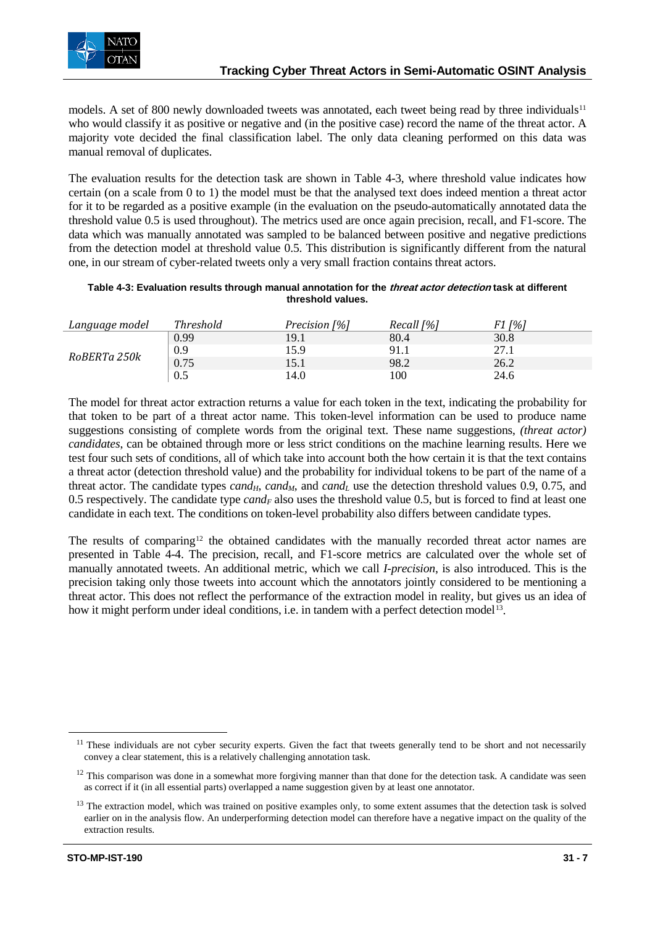models. A set of 800 newly downloaded tweets was annotated, each tweet being read by three individuals $11$ who would classify it as positive or negative and (in the positive case) record the name of the threat actor. A majority vote decided the final classification label. The only data cleaning performed on this data was manual removal of duplicates.

The evaluation results for the detection task are shown in [Table 4-3,](#page-6-0) where threshold value indicates how certain (on a scale from 0 to 1) the model must be that the analysed text does indeed mention a threat actor for it to be regarded as a positive example (in the evaluation on the pseudo-automatically annotated data the threshold value 0.5 is used throughout). The metrics used are once again precision, recall, and F1-score. The data which was manually annotated was sampled to be balanced between positive and negative predictions from the detection model at threshold value 0.5. This distribution is significantly different from the natural one, in our stream of cyber-related tweets only a very small fraction contains threat actors.

#### <span id="page-6-0"></span>**Table 4-3: Evaluation results through manual annotation for the threat actor detection task at different threshold values.**

| Language model | Threshold | Precision [%] | Recall [%] | [%]  |
|----------------|-----------|---------------|------------|------|
| RoBERTa 250k   | 0.99      | 19.1          | 80.4       | 30.8 |
|                | 0.9       | 15.9          | 91.1       | 27.1 |
|                | 0.75      | 15.1          | 98.2       | 26.2 |
|                | $0.5\,$   | 14.0          | 00         | 24.6 |

The model for threat actor extraction returns a value for each token in the text, indicating the probability for that token to be part of a threat actor name. This token-level information can be used to produce name suggestions consisting of complete words from the original text. These name suggestions, *(threat actor) candidates*, can be obtained through more or less strict conditions on the machine learning results. Here we test four such sets of conditions, all of which take into account both the how certain it is that the text contains a threat actor (detection threshold value) and the probability for individual tokens to be part of the name of a threat actor. The candidate types  $cand_H$ ,  $cand_H$ , and  $cand_L$  use the detection threshold values 0.9, 0.75, and 0.5 respectively. The candidate type  $cand_F$  also uses the threshold value 0.5, but is forced to find at least one candidate in each text. The conditions on token-level probability also differs between candidate types.

The results of comparing<sup>[12](#page-6-2)</sup> the obtained candidates with the manually recorded threat actor names are presented in [Table 4-4.](#page-7-0) The precision, recall, and F1-score metrics are calculated over the whole set of manually annotated tweets. An additional metric, which we call *I-precision*, is also introduced. This is the precision taking only those tweets into account which the annotators jointly considered to be mentioning a threat actor. This does not reflect the performance of the extraction model in reality, but gives us an idea of how it might perform under ideal conditions, i.e. in tandem with a perfect detection model<sup>[13](#page-6-3)</sup>.

<span id="page-6-1"></span><sup>&</sup>lt;sup>11</sup> These individuals are not cyber security experts. Given the fact that tweets generally tend to be short and not necessarily convey a clear statement, this is a relatively challenging annotation task.

<span id="page-6-2"></span> $12$  This comparison was done in a somewhat more forgiving manner than that done for the detection task. A candidate was seen as correct if it (in all essential parts) overlapped a name suggestion given by at least one annotator.

<span id="page-6-3"></span><sup>&</sup>lt;sup>13</sup> The extraction model, which was trained on positive examples only, to some extent assumes that the detection task is solved earlier on in the analysis flow. An underperforming detection model can therefore have a negative impact on the quality of the extraction results.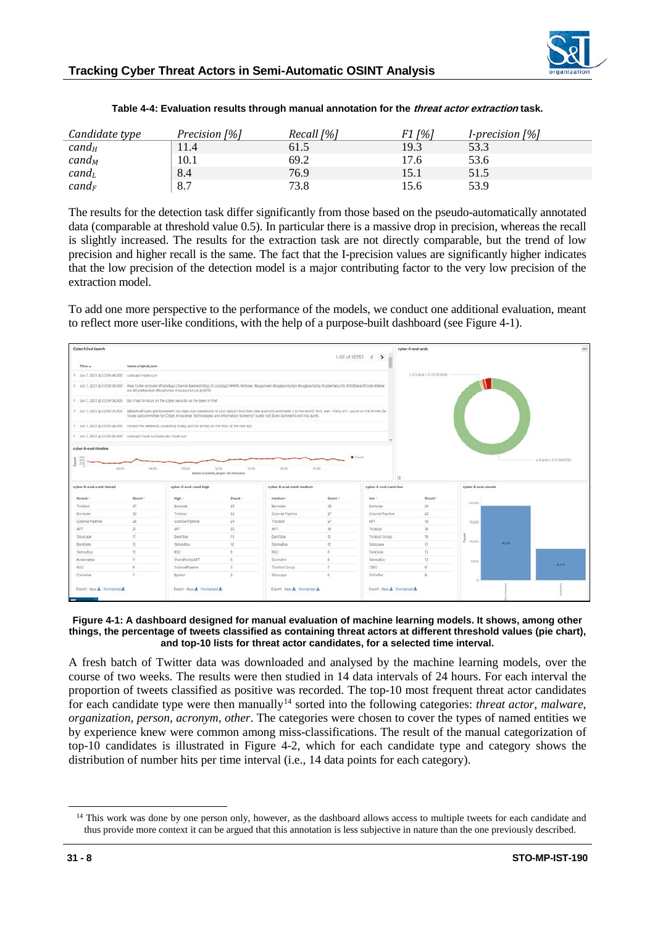

<span id="page-7-0"></span>

| Candidate type       | Precision [%] | Recall $[%]$ | $F1$ [%] | <i>I-precision</i> $[%]$ |
|----------------------|---------------|--------------|----------|--------------------------|
| $c$ and $_H$         | 11.4          | 61.5         | 19.3     | 53.3                     |
| $c$ and <sub>M</sub> | 10.1          | 69.2         | 17.6     | 53.6                     |
| $cand_L$             | 8.4           | 76.9         | 15.1     | 51.5                     |
| $cand_F$             | 8.7           | 73.8         | 15.6     | 53.9                     |

**Table 4-4: Evaluation results through manual annotation for the threat actor extraction task.**

The results for the detection task differ significantly from those based on the pseudo-automatically annotated data (comparable at threshold value 0.5). In particular there is a massive drop in precision, whereas the recall is slightly increased. The results for the extraction task are not directly comparable, but the trend of low precision and higher recall is the same. The fact that the I-precision values are significantly higher indicates that the low precision of the detection model is a major contributing factor to the very low precision of the extraction model.

To add one more perspective to the performance of the models, we conduct one additional evaluation, meant to reflect more user-like conditions, with the help of a purpose-built dashboard (se[e Figure 4-1\)](#page-7-1).



#### <span id="page-7-1"></span>**Figure 4-1: A dashboard designed for manual evaluation of machine learning models. It shows, among other things, the percentage of tweets classified as containing threat actors at different threshold values (pie chart), and top-10 lists for threat actor candidates, for a selected time interval.**

A fresh batch of Twitter data was downloaded and analysed by the machine learning models, over the course of two weeks. The results were then studied in 14 data intervals of 24 hours. For each interval the proportion of tweets classified as positive was recorded. The top-10 most frequent threat actor candidates for each candidate type were then manually<sup>[14](#page-7-2)</sup> sorted into the following categories: *threat actor*, *malware*, *organization*, *person*, *acronym*, *other*. The categories were chosen to cover the types of named entities we by experience knew were common among miss-classifications. The result of the manual categorization of top-10 candidates is illustrated in [Figure 4-2,](#page-8-0) which for each candidate type and category shows the distribution of number hits per time interval (i.e., 14 data points for each category).

<span id="page-7-2"></span><sup>&</sup>lt;sup>14</sup> This work was done by one person only, however, as the dashboard allows access to multiple tweets for each candidate and thus provide more context it can be argued that this annotation is less subjective in nature than the one previously described.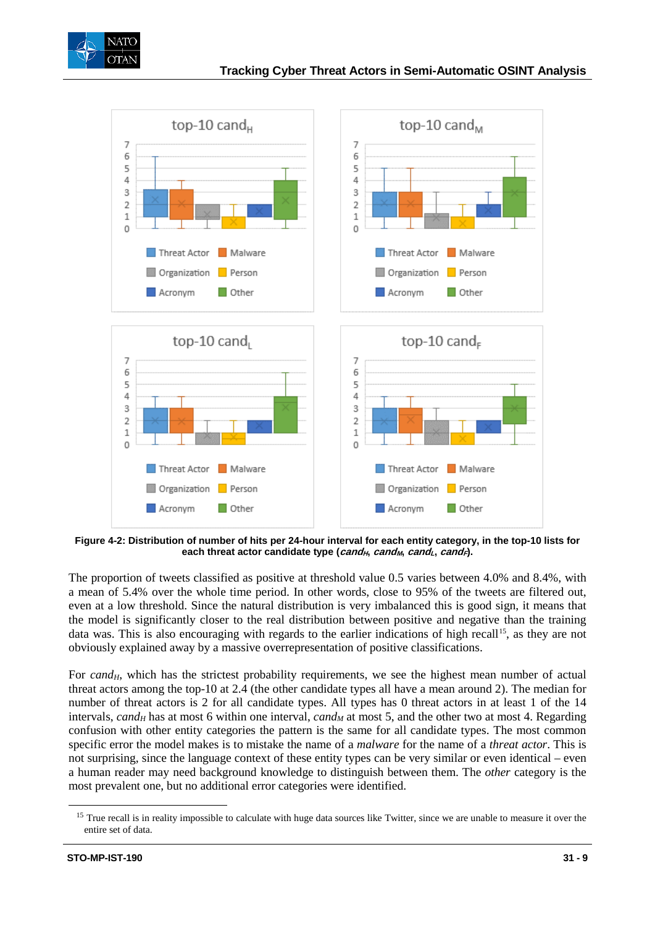



<span id="page-8-0"></span>**Figure 4-2: Distribution of number of hits per 24-hour interval for each entity category, in the top-10 lists for each threat actor candidate type (***cand<sub>H</sub>***,** *cand<sub>M</sub>***,** *cand<sub>L</sub>***,** *cand<sub>F</sub>***).** 

The proportion of tweets classified as positive at threshold value 0.5 varies between 4.0% and 8.4%, with a mean of 5.4% over the whole time period. In other words, close to 95% of the tweets are filtered out, even at a low threshold. Since the natural distribution is very imbalanced this is good sign, it means that the model is significantly closer to the real distribution between positive and negative than the training data was. This is also encouraging with regards to the earlier indications of high recall<sup>[15](#page-8-1)</sup>, as they are not obviously explained away by a massive overrepresentation of positive classifications.

For  $cand_H$ , which has the strictest probability requirements, we see the highest mean number of actual threat actors among the top-10 at 2.4 (the other candidate types all have a mean around 2). The median for number of threat actors is 2 for all candidate types. All types has 0 threat actors in at least 1 of the 14 intervals, *cand<sub>H</sub>* has at most 6 within one interval, *cand<sub>M</sub>* at most 5, and the other two at most 4. Regarding confusion with other entity categories the pattern is the same for all candidate types. The most common specific error the model makes is to mistake the name of a *malware* for the name of a *threat actor*. This is not surprising, since the language context of these entity types can be very similar or even identical – even a human reader may need background knowledge to distinguish between them. The *other* category is the most prevalent one, but no additional error categories were identified.

<span id="page-8-1"></span><sup>&</sup>lt;sup>15</sup> True recall is in reality impossible to calculate with huge data sources like Twitter, since we are unable to measure it over the entire set of data.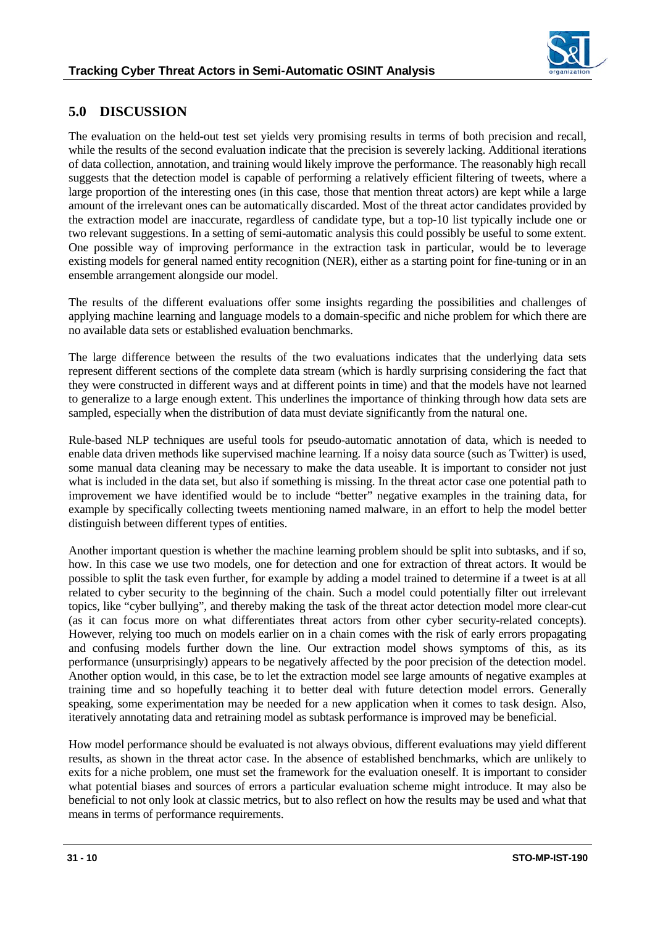

## **5.0 DISCUSSION**

The evaluation on the held-out test set yields very promising results in terms of both precision and recall, while the results of the second evaluation indicate that the precision is severely lacking. Additional iterations of data collection, annotation, and training would likely improve the performance. The reasonably high recall suggests that the detection model is capable of performing a relatively efficient filtering of tweets, where a large proportion of the interesting ones (in this case, those that mention threat actors) are kept while a large amount of the irrelevant ones can be automatically discarded. Most of the threat actor candidates provided by the extraction model are inaccurate, regardless of candidate type, but a top-10 list typically include one or two relevant suggestions. In a setting of semi-automatic analysis this could possibly be useful to some extent. One possible way of improving performance in the extraction task in particular, would be to leverage existing models for general named entity recognition (NER), either as a starting point for fine-tuning or in an ensemble arrangement alongside our model.

The results of the different evaluations offer some insights regarding the possibilities and challenges of applying machine learning and language models to a domain-specific and niche problem for which there are no available data sets or established evaluation benchmarks.

The large difference between the results of the two evaluations indicates that the underlying data sets represent different sections of the complete data stream (which is hardly surprising considering the fact that they were constructed in different ways and at different points in time) and that the models have not learned to generalize to a large enough extent. This underlines the importance of thinking through how data sets are sampled, especially when the distribution of data must deviate significantly from the natural one.

Rule-based NLP techniques are useful tools for pseudo-automatic annotation of data, which is needed to enable data driven methods like supervised machine learning. If a noisy data source (such as Twitter) is used, some manual data cleaning may be necessary to make the data useable. It is important to consider not just what is included in the data set, but also if something is missing. In the threat actor case one potential path to improvement we have identified would be to include "better" negative examples in the training data, for example by specifically collecting tweets mentioning named malware, in an effort to help the model better distinguish between different types of entities.

Another important question is whether the machine learning problem should be split into subtasks, and if so, how. In this case we use two models, one for detection and one for extraction of threat actors. It would be possible to split the task even further, for example by adding a model trained to determine if a tweet is at all related to cyber security to the beginning of the chain. Such a model could potentially filter out irrelevant topics, like "cyber bullying", and thereby making the task of the threat actor detection model more clear-cut (as it can focus more on what differentiates threat actors from other cyber security-related concepts). However, relying too much on models earlier on in a chain comes with the risk of early errors propagating and confusing models further down the line. Our extraction model shows symptoms of this, as its performance (unsurprisingly) appears to be negatively affected by the poor precision of the detection model. Another option would, in this case, be to let the extraction model see large amounts of negative examples at training time and so hopefully teaching it to better deal with future detection model errors. Generally speaking, some experimentation may be needed for a new application when it comes to task design. Also, iteratively annotating data and retraining model as subtask performance is improved may be beneficial.

How model performance should be evaluated is not always obvious, different evaluations may yield different results, as shown in the threat actor case. In the absence of established benchmarks, which are unlikely to exits for a niche problem, one must set the framework for the evaluation oneself. It is important to consider what potential biases and sources of errors a particular evaluation scheme might introduce. It may also be beneficial to not only look at classic metrics, but to also reflect on how the results may be used and what that means in terms of performance requirements.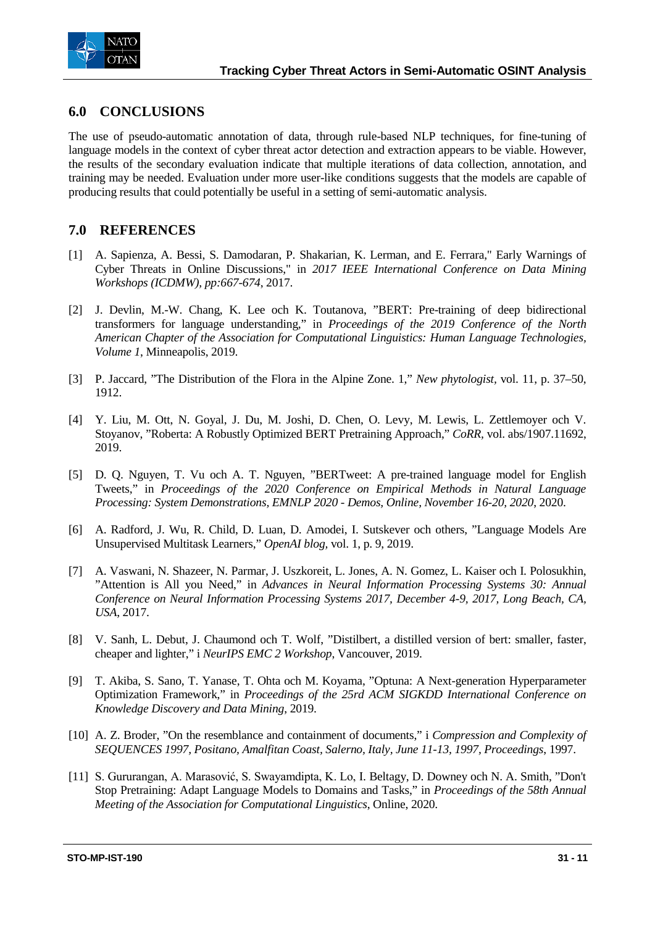

### **6.0 CONCLUSIONS**

The use of pseudo-automatic annotation of data, through rule-based NLP techniques, for fine-tuning of language models in the context of cyber threat actor detection and extraction appears to be viable. However, the results of the secondary evaluation indicate that multiple iterations of data collection, annotation, and training may be needed. Evaluation under more user-like conditions suggests that the models are capable of producing results that could potentially be useful in a setting of semi-automatic analysis.

### **7.0 REFERENCES**

- [1] A. Sapienza, A. Bessi, S. Damodaran, P. Shakarian, K. Lerman, and E. Ferrara," Early Warnings of Cyber Threats in Online Discussions," in *2017 IEEE International Conference on Data Mining Workshops (ICDMW), pp:667-674*, 2017.
- [2] J. Devlin, M.-W. Chang, K. Lee och K. Toutanova, "BERT: Pre-training of deep bidirectional transformers for language understanding," in *Proceedings of the 2019 Conference of the North American Chapter of the Association for Computational Linguistics: Human Language Technologies, Volume 1*, Minneapolis, 2019.
- [3] P. Jaccard, "The Distribution of the Flora in the Alpine Zone. 1," *New phytologist,* vol. 11, p. 37–50, 1912.
- [4] Y. Liu, M. Ott, N. Goyal, J. Du, M. Joshi, D. Chen, O. Levy, M. Lewis, L. Zettlemoyer och V. Stoyanov, "Roberta: A Robustly Optimized BERT Pretraining Approach," *CoRR,* vol. abs/1907.11692, 2019.
- [5] D. Q. Nguyen, T. Vu och A. T. Nguyen, "BERTweet: A pre-trained language model for English Tweets," in *Proceedings of the 2020 Conference on Empirical Methods in Natural Language Processing: System Demonstrations, EMNLP 2020 - Demos, Online, November 16-20, 2020*, 2020.
- [6] A. Radford, J. Wu, R. Child, D. Luan, D. Amodei, I. Sutskever och others, "Language Models Are Unsupervised Multitask Learners," *OpenAI blog,* vol. 1, p. 9, 2019.
- [7] A. Vaswani, N. Shazeer, N. Parmar, J. Uszkoreit, L. Jones, A. N. Gomez, L. Kaiser och I. Polosukhin, "Attention is All you Need," in *Advances in Neural Information Processing Systems 30: Annual Conference on Neural Information Processing Systems 2017, December 4-9, 2017, Long Beach, CA, USA*, 2017.
- [8] V. Sanh, L. Debut, J. Chaumond och T. Wolf, "Distilbert, a distilled version of bert: smaller, faster, cheaper and lighter," i *NeurIPS EMC 2 Workshop*, Vancouver, 2019.
- [9] T. Akiba, S. Sano, T. Yanase, T. Ohta och M. Koyama, "Optuna: A Next-generation Hyperparameter Optimization Framework," in *Proceedings of the 25rd ACM SIGKDD International Conference on Knowledge Discovery and Data Mining*, 2019.
- [10] A. Z. Broder, "On the resemblance and containment of documents," i *Compression and Complexity of SEQUENCES 1997, Positano, Amalfitan Coast, Salerno, Italy, June 11-13, 1997, Proceedings*, 1997.
- [11] S. Gururangan, A. Marasović, S. Swayamdipta, K. Lo, I. Beltagy, D. Downey och N. A. Smith, "Don't Stop Pretraining: Adapt Language Models to Domains and Tasks," in *Proceedings of the 58th Annual Meeting of the Association for Computational Linguistics*, Online, 2020.